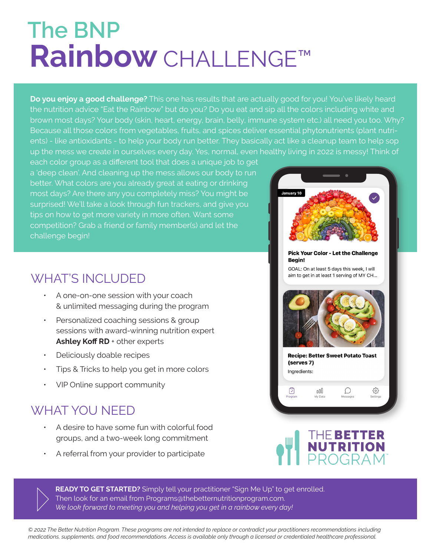## **Rainbow** CHALLENGE™ **The BNP**

**Do you enjoy a good challenge?** This one has results that are actually good for you! You've likely heard the nutrition advice "Eat the Rainbow" but do you? Do you eat and sip all the colors including white and brown most days? Your body (skin, heart, energy, brain, belly, immune system etc.) all need you too. Why? Because all those colors from vegetables, fruits, and spices deliver essential phytonutrients (plant nutrients) - like antioxidants - to help your body run better. They basically act like a cleanup team to help sop up the mess we create in ourselves every day. Yes, normal, even healthy living in 2022 is messy! Think of

each color group as a different tool that does a unique job to get a 'deep clean'. And cleaning up the mess allows our body to run better. What colors are you already great at eating or drinking most days? Are there any you completely miss? You might be surprised! We'll take a look through fun trackers, and give you tips on how to get more variety in more often. Want some competition? Grab a friend or family member(s) and let the challenge begin!

## WHAT'S INCLUDED

- A one-on-one session with your coach & unlimited messaging during the program
- ƽ Personalized coaching sessions & group sessions with award-winning nutrition expert Ashley Koff RD + other experts
- ƽ Deliciously doable recipes
- ƽ Tips & Tricks to help you get in more colors
- VIP Online support community

## WHAT YOU NEED

- ƽ A desire to have some fun with colorful food groups, and a two-week long commitment
- ƽ A referral from your provider to participate





 $\mathcal{D}$ 

భ్ర

 $000$ 

Ū

READY TO GET STARTED? Simply tell your practitioner "Sign Me Up" to get enrolled. Then look for an email from Programs@thebetternutritionprogram.com. *We look forward to meeting you and helping you get in a rainbow every day!* 

*© 2022 The Better Nutrition Program. These programs are not intended to replace or contradict your practitioners recommendations including medications, supplements, and food recommendations. Access is available only through a licensed or credentialed healthcare professional.*